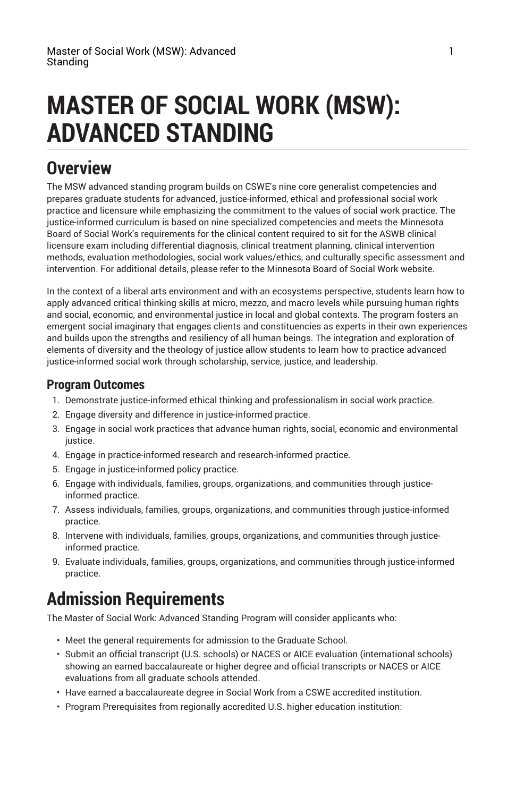# **MASTER OF SOCIAL WORK (MSW): ADVANCED STANDING**

### **Overview**

The MSW advanced standing program builds on CSWE's nine core generalist competencies and prepares graduate students for advanced, justice-informed, ethical and professional social work practice and licensure while emphasizing the commitment to the values of social work practice. The justice-informed curriculum is based on nine specialized competencies and meets the Minnesota Board of Social Work's requirements for the clinical content required to sit for the ASWB clinical licensure exam including differential diagnosis, clinical treatment planning, clinical intervention methods, evaluation methodologies, social work values/ethics, and culturally specific assessment and intervention. For additional details, please refer to the Minnesota Board of Social Work [website](https://mn.gov/boards/social-work/).

In the context of a liberal arts environment and with an ecosystems perspective, students learn how to apply advanced critical thinking skills at micro, mezzo, and macro levels while pursuing human rights and social, economic, and environmental justice in local and global contexts. The program fosters an emergent social imaginary that engages clients and constituencies as experts in their own experiences and builds upon the strengths and resiliency of all human beings. The integration and exploration of elements of diversity and the theology of justice allow students to learn how to practice advanced justice-informed social work through scholarship, service, justice, and leadership.

#### **Program Outcomes**

- 1. Demonstrate justice-informed ethical thinking and professionalism in social work practice.
- 2. Engage diversity and difference in justice-informed practice.
- 3. Engage in social work practices that advance human rights, social, economic and environmental justice.
- 4. Engage in practice-informed research and research-informed practice.
- 5. Engage in justice-informed policy practice.
- 6. Engage with individuals, families, groups, organizations, and communities through justiceinformed practice.
- 7. Assess individuals, families, groups, organizations, and communities through justice-informed practice.
- 8. Intervene with individuals, families, groups, organizations, and communities through justiceinformed practice.
- 9. Evaluate individuals, families, groups, organizations, and communities through justice-informed practice.

# **Admission Requirements**

The Master of Social Work: Advanced Standing Program will consider applicants who:

- Meet the general [requirements](http://catalog.bethel.edu/graduate/admission/admission-requirements/) for admission to the Graduate School.
- Submit an official transcript (U.S. schools) or NACES or AICE evaluation (international schools) showing an earned baccalaureate or higher degree and official transcripts or NACES or AICE evaluations from all graduate schools attended.
- Have earned a baccalaureate degree in Social Work from a CSWE accredited institution.
- Program Prerequisites from regionally accredited U.S. higher education institution: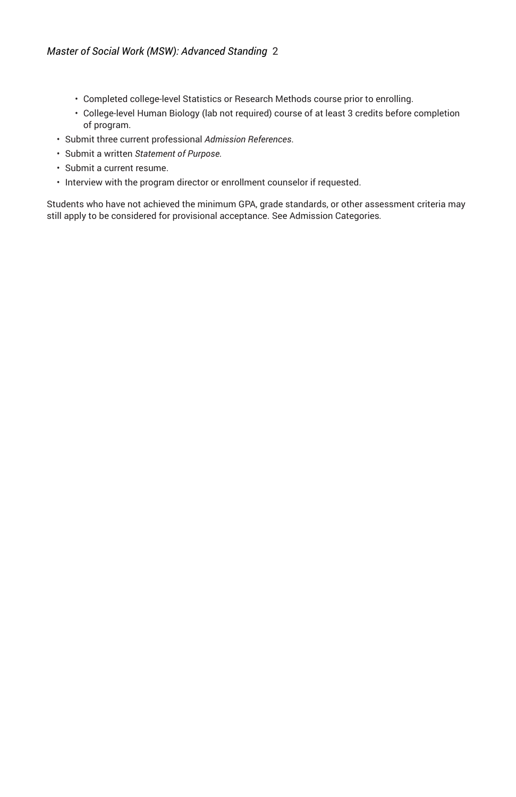- Completed college-level Statistics or Research Methods course prior to enrolling.
- College-level Human Biology (lab not required) course of at least 3 credits before completion of program.
- Submit three current professional *Admission References*.
- Submit a written *Statement of Purpose.*
- Submit a current resume.
- Interview with the program director or enrollment counselor if requested.

Students who have not achieved the minimum GPA, grade standards, or other assessment criteria may still apply to be considered for provisional acceptance. See [Admission Categories](http://catalog.bethel.edu/graduate/admission/admission-categories/)*.*